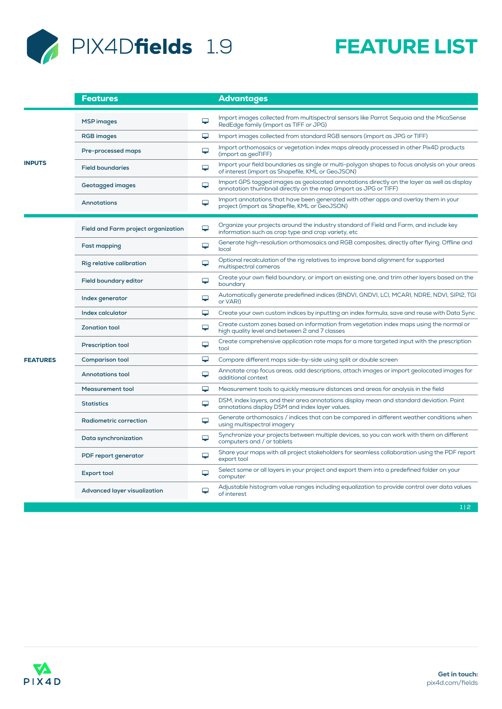

|                 | Features                            |   | <b>Advantages</b>                                                                                                                                               |
|-----------------|-------------------------------------|---|-----------------------------------------------------------------------------------------------------------------------------------------------------------------|
| <b>INPUTS</b>   | <b>MSP</b> images                   | ⋤ | Import images collected from multispectral sensors like Parrot Sequoia and the MicaSense<br>RedEdge family (import as TIFF or JPG)                              |
|                 | <b>RGB</b> images                   | ₽ | Import images collected from standard RGB sensors (import as JPG or TIFF)                                                                                       |
|                 | Pre-processed maps                  | ⋤ | Import orthomosaics or vegetation index maps already processed in other Pix4D products<br>(import as geoTIFF)                                                   |
|                 | <b>Field boundaries</b>             | ₽ | Import your field boundaries as single or multi-polygon shapes to focus analysis on your areas<br>of interest (import as Shapefile, KML or GeoJSON)             |
|                 | <b>Geotagged images</b>             | ⋤ | Import GPS tagged images as geolocated annotations directly on the layer as well as display<br>annotation thumbnail directly on the map (import as JPG or TIFF) |
|                 | <b>Annotations</b>                  | ₽ | Import annotations that have been generated with other apps and overlay them in your<br>project (import as Shapefile, KML or GeoJSON)                           |
| <b>FEATURES</b> | Field and Farm project organization | ₽ | Organize your projects around the industry standard of Field and Farm, and include key<br>information such as crop type and crop variety, etc                   |
|                 | <b>Fast mapping</b>                 | ₽ | Generate high-resolution orthomosaics and RGB composites, directly after flying. Offline and<br>local                                                           |
|                 | Rig relative calibration            | ₽ | Optional recalculation of the rig relatives to improve band alignment for supported<br>multispectral cameras                                                    |
|                 | <b>Field boundary editor</b>        | ⋤ | Create your own field boundary, or import an existing one, and trim other layers based on the<br>boundary                                                       |
|                 | Index generator                     | ₽ | Automatically generate predefined indices (BNDVI, GNDVI, LCI, MCARI, NDRE, NDVI, SIPI2, TGI<br>or VARI)                                                         |
|                 | Index calculator                    | ₽ | Create your own custom indices by inputting an index formula, save and reuse with Data Sync                                                                     |
|                 | <b>Zonation tool</b>                | ₽ | Create custom zones based on information from vegetation index maps using the normal or<br>high quality level and between 2 and 7 classes                       |
|                 | <b>Prescription tool</b>            | ⋤ | Create comprehensive application rate maps for a more targeted input with the prescription<br>tool                                                              |
|                 | Comparison tool                     | ₽ | Compare different maps side-by-side using split or double screen                                                                                                |
|                 | <b>Annotations tool</b>             | ₽ | Annotate crop focus areas, add descriptions, attach images or import geolocated images for<br>additional context                                                |
|                 | <b>Measurement tool</b>             | ⋤ | Measurement tools to quickly measure distances and areas for analysis in the field                                                                              |
|                 | <b>Statistics</b>                   | ⋤ | DSM, index layers, and their area annotations display mean and standard deviation. Point<br>annotations display DSM and index layer values.                     |
|                 | <b>Radiometric correction</b>       | ⋤ | Generate orthomosaics / indices that can be compared in different weather conditions when<br>using multispectral imagery                                        |
|                 | Data synchronization                | ₽ | Synchronize your projects between multiple devices, so you can work with them on different<br>computers and / or tablets                                        |
|                 | PDF report generator                | ⋤ | Share your maps with all project stakeholders for seamless collaboration using the PDF report<br>export tool                                                    |
|                 | <b>Export tool</b>                  | ⋤ | Select some or all layers in your project and export them into a predefined folder on your<br>computer                                                          |
|                 | <b>Advanced layer visualization</b> | ₽ | Adjustable histogram value ranges including equalization to provide control over data values<br>of interest                                                     |
|                 |                                     |   | 1 2                                                                                                                                                             |